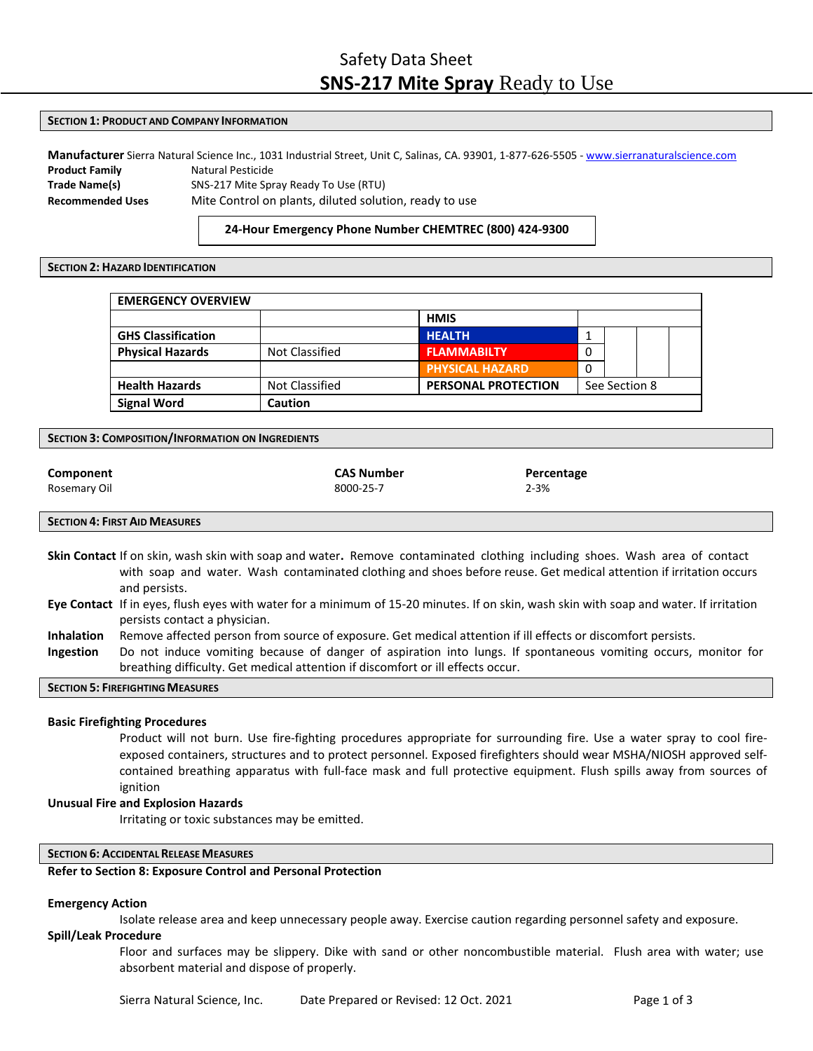# **SECTION 1: PRODUCT AND COMPANY INFORMATION**

**Manufacturer** Sierra Natural Science Inc., 1031 Industrial Street, Unit C, Salinas, CA. 93901, 1‐877‐626‐5505 ‐ [www.sierranaturalscience.com](http://www.sierranaturalscience.com/) **Product Family Matural Pesticide Trade Name(s)** SNS‐217 Mite Spray Ready To Use (RTU) **Recommended Uses** Mite Control on plants, diluted solution, ready to use

# **24‐Hour Emergency Phone Number CHEMTREC (800) 424‐9300**

# **SECTION 2: HAZARD IDENTIFICATION**

| <b>EMERGENCY OVERVIEW</b> |                |                            |               |  |  |
|---------------------------|----------------|----------------------------|---------------|--|--|
|                           |                | <b>HMIS</b>                |               |  |  |
| <b>GHS Classification</b> |                | <b>HEALTH</b>              |               |  |  |
| <b>Physical Hazards</b>   | Not Classified | <b>FLAMMABILTY</b>         | 0             |  |  |
|                           |                | <b>PHYSICAL HAZARD</b>     | 0             |  |  |
| <b>Health Hazards</b>     | Not Classified | <b>PERSONAL PROTECTION</b> | See Section 8 |  |  |
| <b>Signal Word</b>        | Caution        |                            |               |  |  |

**SECTION 3: COMPOSITION/INFORMATION ON INGREDIENTS**

| Component    | <b>CAS Number</b> |  |  |
|--------------|-------------------|--|--|
| Rosemary Oil | 8000-25-7         |  |  |

**Percentage** 2‐3%

# **SECTION 4: FIRST AID MEASURES**

- **Skin Contact** If on skin, wash skin with soap and water**.** Remove contaminated clothing including shoes. Wash area of contact with soap and water. Wash contaminated clothing and shoes before reuse. Get medical attention if irritation occurs and persists.
- **Eye Contact** If in eyes, flush eyes with water for a minimum of 15-20 minutes. If on skin, wash skin with soap and water. If irritation persists contact a physician.
- **Inhalation** Remove affected person from source of exposure. Get medical attention if ill effects or discomfort persists.
- **Ingestion** Do not induce vomiting because of danger of aspiration into lungs. If spontaneous vomiting occurs, monitor for breathing difficulty. Get medical attention if discomfort or ill effects occur.

# **SECTION 5: FIREFIGHTINGMEASURES**

## **Basic Firefighting Procedures**

Product will not burn. Use fire‐fighting procedures appropriate for surrounding fire. Use a water spray to cool fire‐ exposed containers, structures and to protect personnel. Exposed firefighters should wear MSHA/NIOSH approved self‐ contained breathing apparatus with full‐face mask and full protective equipment. Flush spills away from sources of ignition

# **Unusual Fire and Explosion Hazards**

Irritating or toxic substances may be emitted.

# **SECTION 6: ACCIDENTALRELEASE MEASURES**

#### **Refer to Section 8: Exposure Control and Personal Protection**

## **Emergency Action**

Isolate release area and keep unnecessary people away. Exercise caution regarding personnel safety and exposure.

# **Spill/Leak Procedure**

Floor and surfaces may be slippery. Dike with sand or other noncombustible material. Flush area with water; use absorbent material and dispose of properly.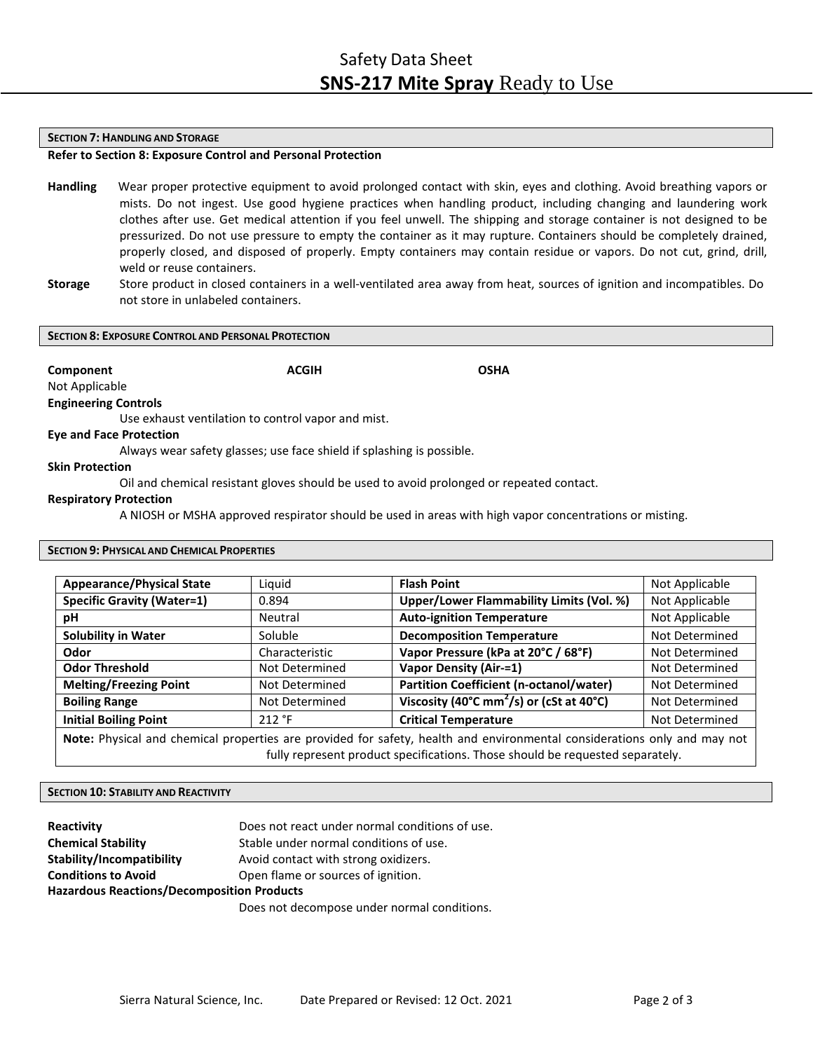#### **SECTION 7: HANDLING AND STORAGE**

# **Refer to Section 8: Exposure Control and Personal Protection**

- **Handling** Wear proper protective equipment to avoid prolonged contact with skin, eyes and clothing. Avoid breathing vapors or mists. Do not ingest. Use good hygiene practices when handling product, including changing and laundering work clothes after use. Get medical attention if you feel unwell. The shipping and storage container is not designed to be pressurized. Do not use pressure to empty the container as it may rupture. Containers should be completely drained, properly closed, and disposed of properly. Empty containers may contain residue or vapors. Do not cut, grind, drill, weld or reuse containers.
- **Storage** Store product in closed containers in a well‐ventilated area away from heat, sources of ignition and incompatibles. Do not store in unlabeled containers.

#### **SECTION 8: EXPOSURE CONTROL AND PERSONAL PROTECTION**

**Component Component ACGIH Component** OSHA

# Not Applicable **Engineering Controls**

Use exhaust ventilation to control vapor and mist.

# **Eye and Face Protection**

Always wear safety glasses; use face shield if splashing is possible.

# **Skin Protection**

Oil and chemical resistant gloves should be used to avoid prolonged or repeated contact.

# **Respiratory Protection**

A NIOSH or MSHA approved respirator should be used in areas with high vapor concentrations or misting.

# **SECTION 9: PHYSICAL AND CHEMICAL PROPERTIES**

| <b>Appearance/Physical State</b>                                                                                                                                                                          | Liquid         | <b>Flash Point</b>                                                          | Not Applicable |
|-----------------------------------------------------------------------------------------------------------------------------------------------------------------------------------------------------------|----------------|-----------------------------------------------------------------------------|----------------|
| <b>Specific Gravity (Water=1)</b>                                                                                                                                                                         | 0.894          | Upper/Lower Flammability Limits (Vol. %)<br>Not Applicable                  |                |
| рH                                                                                                                                                                                                        | Neutral        | <b>Auto-ignition Temperature</b><br>Not Applicable                          |                |
| <b>Solubility in Water</b>                                                                                                                                                                                | Soluble        | <b>Decomposition Temperature</b>                                            | Not Determined |
| Odor                                                                                                                                                                                                      | Characteristic | Vapor Pressure (kPa at 20°C / 68°F)                                         | Not Determined |
| <b>Odor Threshold</b>                                                                                                                                                                                     | Not Determined | <b>Vapor Density (Air-=1)</b>                                               | Not Determined |
| <b>Melting/Freezing Point</b>                                                                                                                                                                             | Not Determined | Partition Coefficient (n-octanol/water)                                     | Not Determined |
| <b>Boiling Range</b>                                                                                                                                                                                      | Not Determined | Viscosity $\sqrt{(40^{\circ}C \text{ mm}^2/s)}$ or (cSt at 40 $^{\circ}$ C) | Not Determined |
| <b>Initial Boiling Point</b>                                                                                                                                                                              | 212 °F         | <b>Critical Temperature</b>                                                 | Not Determined |
| Note: Physical and chemical properties are provided for safety, health and environmental considerations only and may not<br>fully represent product specifications. Those should be requested separately. |                |                                                                             |                |

# **SECTION 10: STABILITY AND REACTIVITY**

| <b>Reactivity</b>                                 | Does not react under normal conditions of use. |  |  |
|---------------------------------------------------|------------------------------------------------|--|--|
| <b>Chemical Stability</b>                         | Stable under normal conditions of use.         |  |  |
| Stability/Incompatibility                         | Avoid contact with strong oxidizers.           |  |  |
| <b>Conditions to Avoid</b>                        | Open flame or sources of ignition.             |  |  |
| <b>Hazardous Reactions/Decomposition Products</b> |                                                |  |  |
|                                                   |                                                |  |  |

Does not decompose under normal conditions.